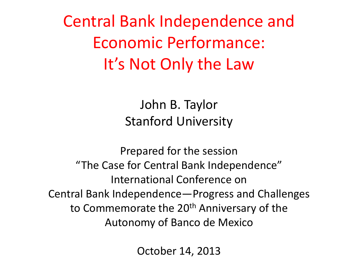Central Bank Independence and Economic Performance: It's Not Only the Law

> John B. Taylor Stanford University

Prepared for the session "The Case for Central Bank Independence" International Conference on Central Bank Independence—Progress and Challenges to Commemorate the 20<sup>th</sup> Anniversary of the Autonomy of Banco de Mexico

October 14, 2013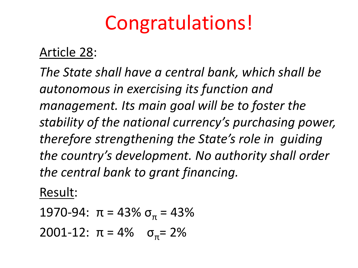# Congratulations!

#### Article 28:

*The State shall have a central bank, which shall be autonomous in exercising its function and management. Its main goal will be to foster the stability of the national currency's purchasing power, therefore strengthening the State's role in guiding the country's development. No authority shall order the central bank to grant financing.*

#### Result:

1970-94:  $\pi$  = 43%  $\sigma_{\pi}$  = 43% 2001-12:  $\pi = 4\%$   $\sigma_{\pi} = 2\%$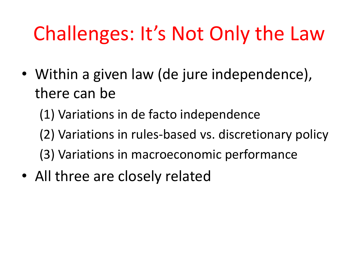# Challenges: It's Not Only the Law

- Within a given law (de jure independence), there can be
	- (1) Variations in de facto independence
	- (2) Variations in rules-based vs. discretionary policy
	- (3) Variations in macroeconomic performance
- All three are closely related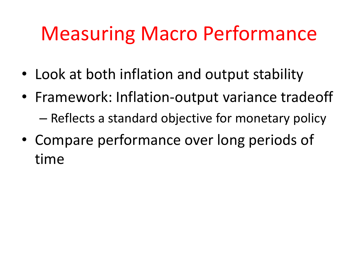# Measuring Macro Performance

- Look at both inflation and output stability
- Framework: Inflation-output variance tradeoff – Reflects a standard objective for monetary policy
- Compare performance over long periods of time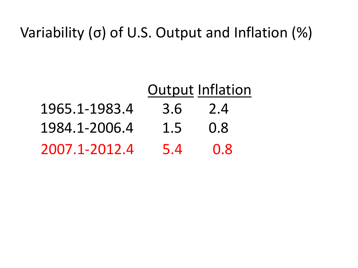### Variability (σ) of U.S. Output and Inflation (%)

|               | <b>Output Inflation</b> |     |  |
|---------------|-------------------------|-----|--|
| 1965.1-1983.4 | 3.6 2.4                 |     |  |
| 1984.1-2006.4 | $1.5 \t0.8$             |     |  |
| 2007.1-2012.4 | 5.4                     | 0.8 |  |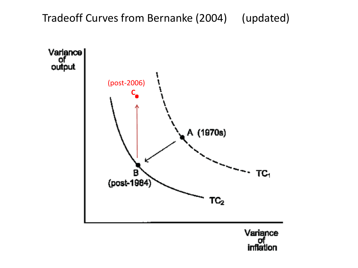#### Tradeoff Curves from Bernanke (2004) (updated)

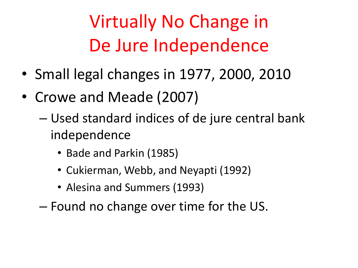Virtually No Change in De Jure Independence

- Small legal changes in 1977, 2000, 2010
- Crowe and Meade (2007)
	- Used standard indices of de jure central bank independence
		- Bade and Parkin (1985)
		- Cukierman, Webb, and Neyapti (1992)
		- Alesina and Summers (1993)
	- Found no change over time for the US.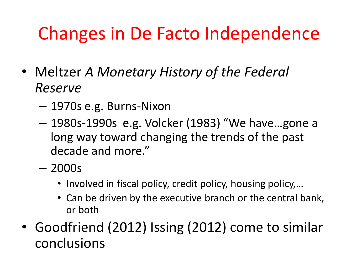## Changes in De Facto Independence

- Meltzer *A Monetary History of the Federal Reserve*
	- 1970s e.g. Burns-Nixon
	- 1980s-1990s e.g. Volcker (1983) "We have…gone a long way toward changing the trends of the past decade and more."
	- 2000s
		- Involved in fiscal policy, credit policy, housing policy,...
		- Can be driven by the executive branch or the central bank, or both
- Goodfriend (2012) Issing (2012) come to similar conclusions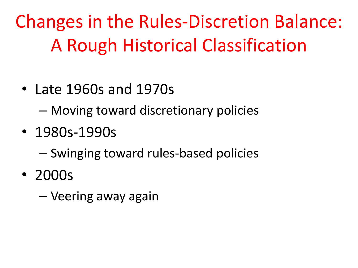Changes in the Rules-Discretion Balance: A Rough Historical Classification

- Late 1960s and 1970s
	- Moving toward discretionary policies
- 1980s-1990s
	- Swinging toward rules-based policies
- 2000s
	- Veering away again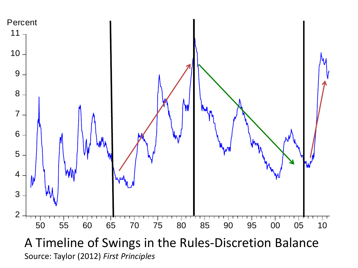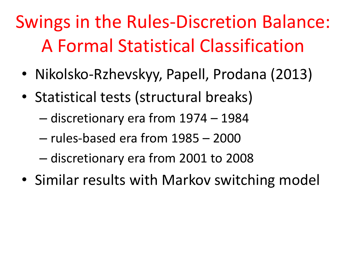# Swings in the Rules-Discretion Balance: A Formal Statistical Classification

- Nikolsko-Rzhevskyy, Papell, Prodana (2013)
- Statistical tests (structural breaks)
	- discretionary era from 1974 1984
	- rules-based era from 1985 2000
	- discretionary era from 2001 to 2008
- Similar results with Markov switching model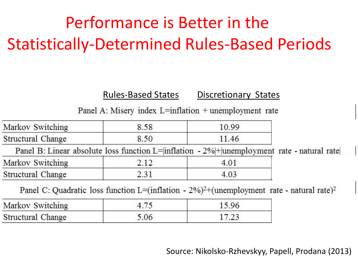### Performance is Better in the Statistically-Determined Rules-Based Periods

#### Rules-Based States Discretionary States

Panel A: Misery index L=inflation  $+$  unemployment rate

| Markov Switching  | 8.58 | 10.99                                                                                             |  |
|-------------------|------|---------------------------------------------------------------------------------------------------|--|
| Structural Change | 8.50 | 11.46                                                                                             |  |
|                   |      | Panel B: Linear absolute loss function L= inflation - 2% + unemployment rate - natural rate       |  |
| Markov Switching  | 2.12 | 4.01                                                                                              |  |
| Structural Change | 2.31 | 4.03                                                                                              |  |
|                   |      | Davel C: Our during loss function $I = (inflation - 20/2)$ (unamplayment asta section) asta $(2)$ |  |

Panel C: Quadratic loss function L=(inflation -  $2\%$ )<sup>2+</sup>(unemployment rate - natural rate)<sup>2</sup>

| Markov Switching  |      |  |  |
|-------------------|------|--|--|
| Structural Change | 06.ر |  |  |

Source: Nikolsko-Rzhevskyy, Papell, Prodana (2013)